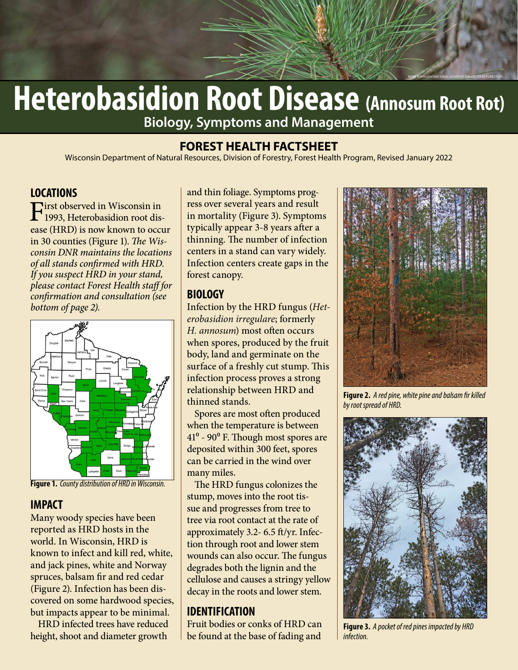# **Heterobasidion Root Disease (Annosum Root Rot) Biology, Symptoms and Management**

#### **FOREST HEALTH FACTSHEET**

Wisconsin Department of Natural Resources, Division of Forestry, Forest Health Program, Revised January 2022

#### **LOCATIONS**

First observed in Wisconsin in<br>1993, Heterobasidion root dis-**First observed in Wisconsin in** ease (HRD) is now known to occur in 30 counties (Figure 1). The Wisconsin DNR maintains the locations of all stands confirmed with HRD. If you suspect HRD in your stand, please contact Forest Health staff for confirmation and consultation (see bottom of page 2).



**Figure 1.** County distribution of HRD in Wisconsin.

#### **IMPACT**

Many woody species have been reported as HRD hosts in the world. In Wisconsin, HRD is known to infect and kill red, white, and jack pines, white and Norway spruces, balsam fir and red cedar (Figure 2). Infection has been discovered on some hardwood species, but impacts appear to be minimal.

HRD infected trees have reduced height, shoot and diameter growth

and thin foliage. Symptoms progress over several years and result in mortality (Figure 3). Symptoms typically appear 3-8 years after a thinning. The number of infection centers in a stand can vary widely. Infection centers create gaps in the forest canopy.

#### **BIOLOGY**

Infection by the HRD fungus (Heterobasidion irregulare; formerly H. annosum) most often occurs when spores, produced by the fruit body, land and germinate on the surface of a freshly cut stump. This infection process proves a strong relationship between HRD and thinned stands.

Spores are most often produced when the temperature is between 41<sup>°</sup> - 90<sup>°</sup> F. Though most spores are deposited within 300 feet, spores can be carried in the wind over many miles.

The HRD fungus colonizes the stump, moves into the root tissue and progresses from tree to tree via root contact at the rate of approximately 3.2- 6.5 ft/yr. Infection through root and lower stem wounds can also occur. The fungus degrades both the lignin and the cellulose and causes a stringy yellow decay in the roots and lower stem.

## **IDENTIFICATION**

Fruit bodies or conks of HRD can be found at the base of fading and



RENA JOHNSON/NATIONAL ASSOCIATION OF STATE FORESTERS

**Figure 2.** A red pine, white pine and balsam fir killed by root spread of HRD.



**Figure 3.** A pocket of red pines impacted by HRD infection.